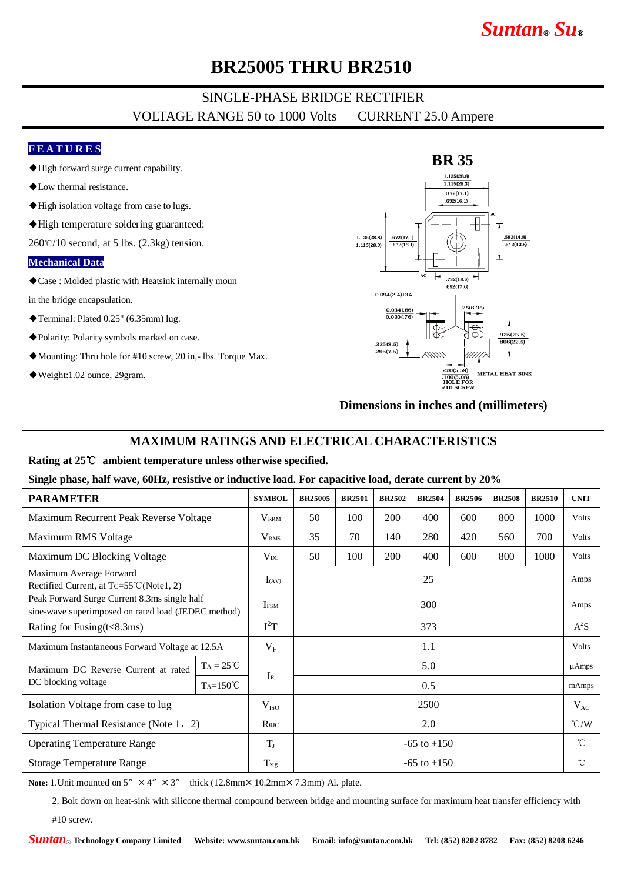# *Suntan***®** *Su***®**

## **BR25005 THRU BR2510**

### SINGLE-PHASE BRIDGE RECTIFIER VOLTAGE RANGE 50 to 1000 Volts CURRENT 25.0 Ampere

### **F E A T U R E S**

- ◆High forward surge current capability.
- ◆Low thermal resistance.
- ◆High isolation voltage from case to lugs.
- ◆High temperature soldering guaranteed:

 $260\degree$ C/10 second, at 5 lbs. (2.3kg) tension.

#### **Mechanical Data**

◆Case : Molded plastic with Heatsink internally moun

in the bridge encapsulation.

- ◆Terminal: Plated 0.25" (6.35mm) lug.
- ◆Polarity: Polarity symbols marked on case.
- ◆Mounting: Thru hole for #10 screw, 20 in,- lbs. Torque Max.
- ◆Weight:1.02 ounce, 29gram.



**Dimensions in inches and (millimeters)**

### **MAXIMUM RATINGS AND ELECTRICAL CHARACTERISTICS**

#### **Rating at 25**℃ **ambient temperature unless otherwise specified.**

#### **Single phase, half wave, 60Hz, resistive or inductive load. For capacitive load, derate current by 20%**

| <b>PARAMETER</b>                                                                                    |                    | <b>SYMBOL</b>           | <b>BR25005</b>  | <b>BR2501</b> | <b>BR2502</b> | <b>BR2504</b> | <b>BR2506</b> | <b>BR2508</b> | <b>BR2510</b> | <b>UNIT</b>        |
|-----------------------------------------------------------------------------------------------------|--------------------|-------------------------|-----------------|---------------|---------------|---------------|---------------|---------------|---------------|--------------------|
| Maximum Recurrent Peak Reverse Voltage                                                              |                    | $V_{\rm RRM}$           | 50              | 100           | 200           | 400           | 600           | 800           | 1000          | Volts              |
| Maximum RMS Voltage                                                                                 |                    | <b>V</b> <sub>RMS</sub> | 35              | 70            | 140           | 280           | 420           | 560           | 700           | Volts              |
| Maximum DC Blocking Voltage                                                                         |                    | $V_{DC}$                | 50              | 100           | 200           | 400           | 600           | 800           | 1000          | Volts              |
| Maximum Average Forward<br>Rectified Current, at Tc=55°C(Note1, 2)                                  |                    | $I_{(AV)}$              | 25              |               |               |               |               |               |               | Amps               |
| Peak Forward Surge Current 8.3ms single half<br>sine-wave superimposed on rated load (JEDEC method) |                    | <b>IFSM</b>             | 300             |               |               |               |               |               |               | Amps               |
| Rating for Fusing $(t<8.3ms)$                                                                       |                    | $I^2T$                  | 373             |               |               |               |               |               |               | $A^2S$             |
| Maximum Instantaneous Forward Voltage at 12.5A                                                      |                    | $V_{F}$                 | 1.1             |               |               |               |               |               |               | Volts              |
| Maximum DC Reverse Current at rated<br>DC blocking voltage                                          | $Ta = 25^{\circ}C$ | $I_{R}$                 | 5.0             |               |               |               |               |               |               | $\mu$ Amps         |
|                                                                                                     | $Ta=150^{\circ}C$  |                         | 0.5             |               |               |               |               |               |               | mAmps              |
| Isolation Voltage from case to lug                                                                  |                    | V <sub>ISO</sub>        | 2500            |               |               |               |               |               |               | $V_{AC}$           |
| Typical Thermal Resistance (Note 1, 2)                                                              |                    | $R$ $\theta$ JC         | 2.0             |               |               |               |               |               |               | $\rm ^{\circ}$ C/W |
| <b>Operating Temperature Range</b>                                                                  |                    | $\rm T_J$               | $-65$ to $+150$ |               |               |               |               |               |               | °C                 |
| <b>Storage Temperature Range</b>                                                                    |                    | $T_{\rm{stg}}$          | $-65$ to $+150$ |               |               |               |               |               |               | $^{\circ}$ C       |

**Note:** 1. Unit mounted on  $5'' \times 4'' \times 3''$  thick (12.8mm×10.2mm×7.3mm) Al. plate.

2. Bolt down on heat-sink with silicone thermal compound between bridge and mounting surface for maximum heat transfer efficiency with

#10 screw.